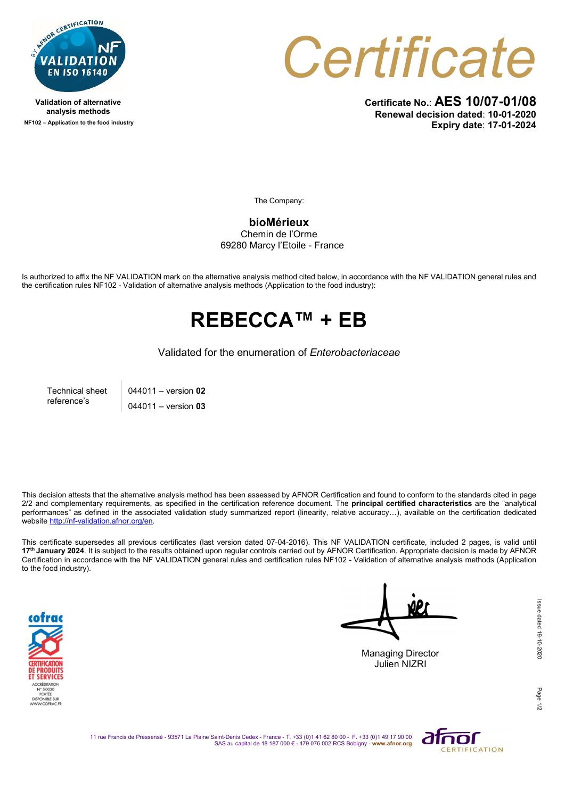

Validation of alternative analysis methods NF102 – Application to the food industry Certificate

Certificate No.: AES 10/07-01/08 Renewal decision dated: 10-01-2020 Expiry date: 17-01-2024

The Company:

bioMérieux

Chemin de l'Orme 69280 Marcy l'Etoile - France

Is authorized to affix the NF VALIDATION mark on the alternative analysis method cited below, in accordance with the NF VALIDATION general rules and the certification rules NF102 - Validation of alternative analysis methods (Application to the food industry):

## REBECCA™ + EB

Validated for the enumeration of Enterobacteriaceae

Technical sheet reference's

044011 – version 02 044011 – version 03

This decision attests that the alternative analysis method has been assessed by AFNOR Certification and found to conform to the standards cited in page 2/2 and complementary requirements, as specified in the certification reference document. The **principal certified characteristics** are the "analytical performances" as defined in the associated validation study summarized report (linearity, relative accuracy…), available on the certification dedicated website http://nf-validation.afnor.org/en.

This certificate supersedes all previous certificates (last version dated 07-04-2016). This NF VALIDATION certificate, included 2 pages, is valid until 17<sup>th</sup> January 2024. It is subject to the results obtained upon regular controls carried out by AFNOR Certification. Appropriate decision is made by AFNOR Certification in accordance with the NF VALIDATION general rules and certification rules NF102 - Validation of alternative analysis methods (Application to the food industry).



Managing Director

Julien NIZRI

Page

11 rue Francis de Pressensé - 93571 La Plaine Saint-Denis Cedex - France - T. +33 (0)1 41 62 80 00 - F. +33 (0)1 49 17 90 00<br>SAS au capital de 18 187 000 € - 479 076 002 RCS Bobigny - www.afnor.org